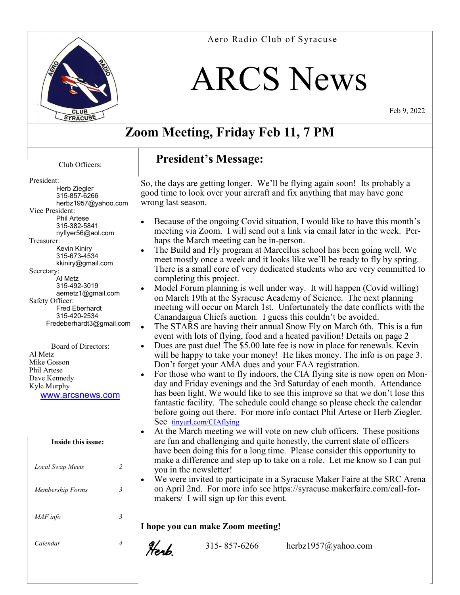

# ARCS News

Feb 9, 2022

# **Zoom Meeting, Friday Feb 11, 7 PM**

#### Club Officers:

#### President:

| Herb Ziegler             |
|--------------------------|
| 315-857-6266             |
|                          |
| herbz1957@yahoo.com      |
| Vice President:          |
| <b>Phil Artese</b>       |
| 315-382-5841             |
| nyflyer56@aol.com        |
| Treasurer:               |
| Kevin Kiniry             |
| 315-673-4534             |
| kkiniry@gmail.com        |
| Secretary:               |
| Al Metz                  |
| 315-492-3019             |
| aemetz1@gmail.com        |
| Safety Officer:          |
| <b>Fred Eberhardt</b>    |
| 315-420-2534             |
|                          |
| Fredeberhardt3@gmail.com |
|                          |

Board of Directors: Al Metz Mike Gosson Phil Artese Dave Kennedy Kyle Murphy www.arcsnews.com

**Inside this issue:**

| Local Swap Meets |  |
|------------------|--|
| Membership Forms |  |
| MAF info         |  |
| Calendar         |  |

### **President's Message:**

So, the days are getting longer. We'll be flying again soon! Its probably a good time to look over your aircraft and fix anything that may have gone wrong last season.

- Because of the ongoing Covid situation, I would like to have this month's meeting via Zoom. I will send out a link via email later in the week. Perhaps the March meeting can be in-person.
- The Build and Fly program at Marcellus school has been going well. We meet mostly once a week and it looks like we'll be ready to fly by spring. There is a small core of very dedicated students who are very committed to completing this project.
- Model Forum planning is well under way. It will happen (Covid willing) on March 19th at the Syracuse Academy of Science. The next planning meeting will occur on March 1st. Unfortunately the date conflicts with the Canandaigua Chiefs auction. I guess this couldn't be avoided.
- The STARS are having their annual Snow Fly on March 6th. This is a fun event with lots of flying, food and a heated pavilion! Details on page 2
- Dues are past due! The \$5.00 late fee is now in place for renewals. Kevin will be happy to take your money! He likes money. The info is on page 3. Don't forget your AMA dues and your FAA registration.
- For those who want to fly indoors, the CIA flying site is now open on Monday and Friday evenings and the 3rd Saturday of each month. Attendance has been light. We would like to see this improve so that we don't lose this fantastic facility. The schedule could change so please check the calendar before going out there. For more info contact Phil Artese or Herb Ziegler. See [tinyurl.com/CIAflying](http://tinyurl.com/CIAflying)
- At the March meeting we will vote on new club officers. These positions are fun and challenging and quite honestly, the current slate of officers have been doing this for a long time. Please consider this opportunity to make a difference and step up to take on a role. Let me know so I can put you in the newsletter!
- We were invited to participate in a Syracuse Maker Faire at the SRC Arena on April 2nd. For more info see https://syracuse.makerfaire.com/call-formakers/ I will sign up for this event.

**I hope you can make Zoom meeting!**

Henb

315- 857-6266 herbz1957@yahoo.com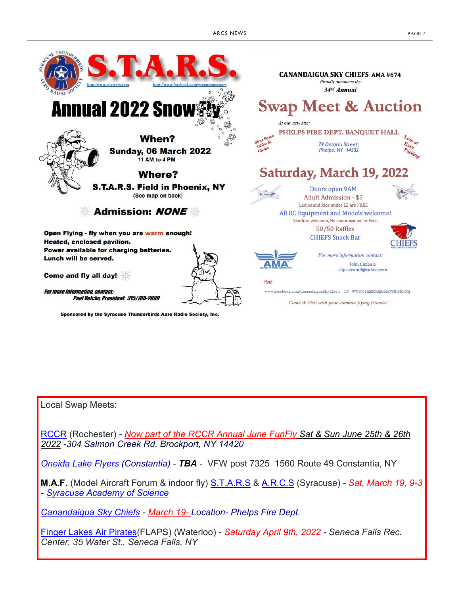

Local Swap Meets:

[RCCR](http://www.rccr1957.com/schedule/Swap-Meet-2019.pdf) (Rochester) *- Now part of the RCCR Annual June FunFly Sat & Sun June 25th & 26th 2022 -304 Salmon Creek Rd. Brockport, NY 14420*

*[Oneida Lake Flyers](http://oneidalakeflyers.x10.mx/) (Constantia) - TBA* - VFW post 7325 1560 Route 49 Constantia, NY

**M.A.F.** (Model Aircraft Forum & indoor fly) [S.T.A.R.S](http://www.amadistrictiistars.org/) & [A.R.C.S](http://www.arcsnews.com/) (Syracuse) *- Sat, March 19, 9-3 - [Syracuse Academy of Science](https://www.google.com/maps/place/Syracuse+Academy+of+Science+High+School/@43.0520235,-76.1799153,15z/data=%214m2%213m1%211s0x0:0xe4f0511260df530a)*

*[Canandaigua Sky Chiefs](http://www.canandaiguaskychiefs.org/) - March 19- Location- Phelps Fire Dept.*

[Finger Lakes Air Pirates\(](http://flapsrc.com/)FLAPS) (Waterloo) - *Saturday April 9th, 2022 - Seneca Falls Rec. Center, 35 Water St., Seneca Falls, NY*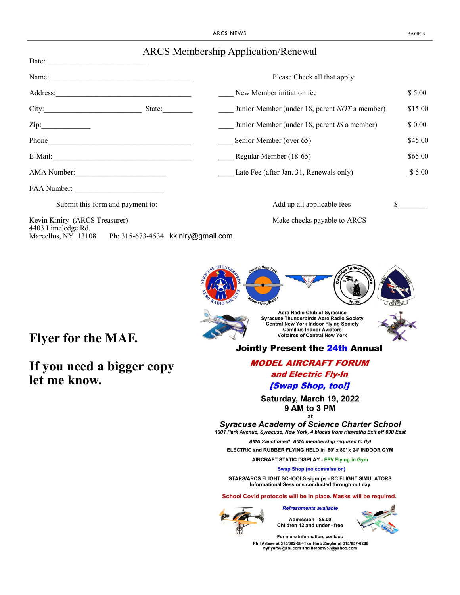| <b>ARCS Membership Application/Renewal</b> |
|--------------------------------------------|
|--------------------------------------------|

| Date: $\qquad \qquad$                                                                                                                                                                                                                     |                                                                |         |
|-------------------------------------------------------------------------------------------------------------------------------------------------------------------------------------------------------------------------------------------|----------------------------------------------------------------|---------|
| Name:                                                                                                                                                                                                                                     | Please Check all that apply:                                   |         |
| Address:<br>the control of the control of the control of the control of the control of the control of the control of the control of the control of the control of the control of the control of the control of the control of the control | New Member initiation fee                                      | \$5.00  |
| City:                                                                                                                                                                                                                                     | Junior Member (under 18, parent <i>NOT</i> a member)<br>State: | \$15.00 |
| Zip:                                                                                                                                                                                                                                      | Junior Member (under 18, parent IS a member)                   | \$ 0.00 |
| Phone Phone                                                                                                                                                                                                                               | Senior Member (over 65)                                        | \$45.00 |
|                                                                                                                                                                                                                                           | Regular Member (18-65)                                         | \$65.00 |
| AMA Number:                                                                                                                                                                                                                               | Late Fee (after Jan. 31, Renewals only)                        | \$5.00  |
|                                                                                                                                                                                                                                           |                                                                |         |
| Submit this form and payment to:                                                                                                                                                                                                          | Add up all applicable fees                                     |         |
| Kevin Kiniry (ARCS Treasurer)<br>4403 Limeledge Rd.                                                                                                                                                                                       | Make checks payable to ARCS                                    |         |
| Marcellus, NY 13108 Ph: 315-673-4534 kkiniry@gmail.com                                                                                                                                                                                    |                                                                |         |



# **Flyer for the MAF.**

#### **If you need a bigger copy let me know.**

Aero Radio Club of Syracuse<br>Syracuse Thunderbirds Aero Radio Society<br>Central New York Indoor Flying Society **Camillus Indoor Aviators Voltaires of Central New York** 

#### **Jointly Present the 24th Annual**

**MODEL AIRCRAFT FORUM** and Electric Fly-In [Swap Shop, too!]

Saturday, March 19, 2022 9 AM to 3 PM at

**Syracuse Academy of Science Charter School** 1001 Park Avenue, Syracuse, New York, 4 blocks from Hiawatha Exit off 690 East

AMA Sanctioned! AMA membership required to fly! ELECTRIC and RUBBER FLYING HELD in 80' x 80' x 24' INDOOR GYM

AIRCRAFT STATIC DISPLAY - FPV Flying in Gym

**Swap Shop (no commission)** 

STARS/ARCS FLIGHT SCHOOLS signups - RC FLIGHT SIMULATORS Informational Sessions conducted through out day

School Covid protocols will be in place. Masks will be required.

**Refreshments available** 

Admission - \$5.00 Children 12 and under - free



For more information, contact: Phil Artese at 315/382-5841 or Herb Ziegler at 315/857-6266<br>nyflyer56@aol.com and herbz1957@yahoo.com